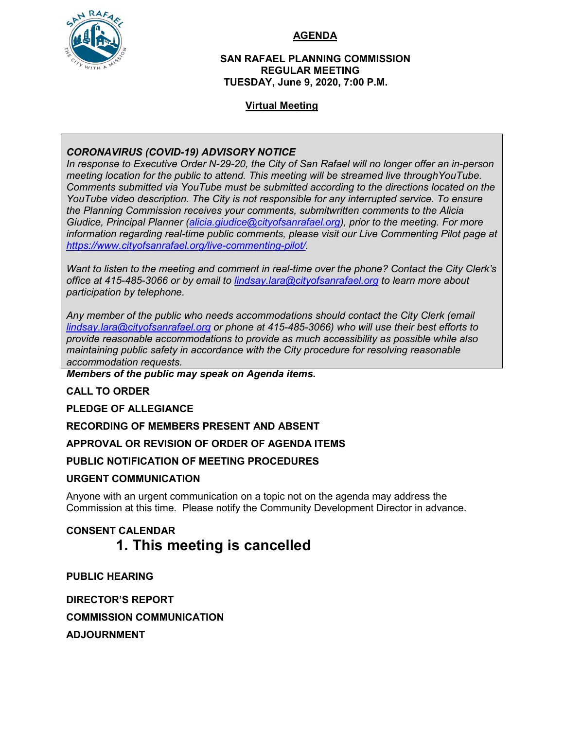

#### **AGENDA**

#### **SAN RAFAEL PLANNING COMMISSION REGULAR MEETING TUESDAY, June 9, 2020, 7:00 P.M.**

#### **Virtual Meeting**

# *CORONAVIRUS (COVID-19) ADVISORY NOTICE*

*In response to Executive Order N-29-20, the City of San Rafael will no longer offer an in-person meeting location for the public to attend. This meeting will be streamed live throughYouTube. Comments submitted via YouTube must be submitted according to the directions located on the YouTube video description. The City is not responsible for any interrupted service. To ensure the Planning Commission receives your comments, submitwritten comments to the Alicia Giudice, Principal Planner [\(alicia.giudice@cityofsanrafael.org\)](mailto:alicia.giudice@cityofsanrafael.org), prior to the meeting. For more information regarding real-time public comments, please visit our Live Commenting Pilot page at [https://www.cityofsanrafael.org/live-commenting-pilot/.](https://www.cityofsanrafael.org/live-commenting-pilot/)*

*Want to listen to the meeting and comment in real-time over the phone? Contact the City Clerk's office at 415-485-3066 or by email to [lindsay.lara@cityofsanrafael.org](mailto:lindsay.lara@cityofsanrafael.org) to learn more about participation by telephone.*

*Any member of the public who needs accommodations should contact the City Clerk (email [lindsay.lara@cityofsanrafael.org](mailto:lindsay.lara@cityofsanrafael.org) or phone at 415-485-3066) who will use their best efforts to provide reasonable accommodations to provide as much accessibility as possible while also maintaining public safety in accordance with the City procedure for resolving reasonable accommodation requests.*

*Members of the public may speak on Agenda items***.**

# **CALL TO ORDER**

**PLEDGE OF ALLEGIANCE**

**RECORDING OF MEMBERS PRESENT AND ABSENT**

**APPROVAL OR REVISION OF ORDER OF AGENDA ITEMS**

**PUBLIC NOTIFICATION OF MEETING PROCEDURES**

# **URGENT COMMUNICATION**

Anyone with an urgent communication on a topic not on the agenda may address the Commission at this time. Please notify the Community Development Director in advance.

# **CONSENT CALENDAR 1. This meeting is cancelled**

**PUBLIC HEARING**

**DIRECTOR'S REPORT COMMISSION COMMUNICATION ADJOURNMENT**